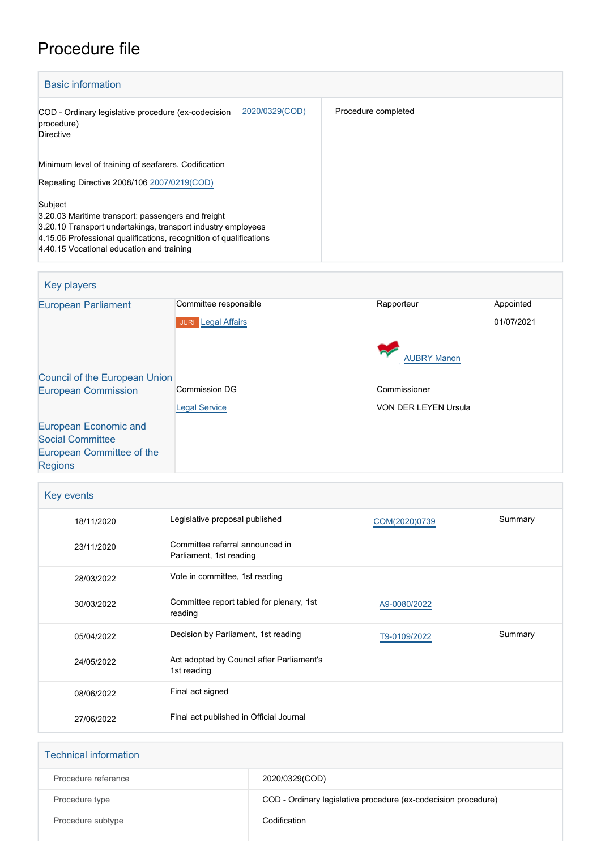# Procedure file

| <b>Basic information</b>                                                                                                                                                                                                                         |                     |
|--------------------------------------------------------------------------------------------------------------------------------------------------------------------------------------------------------------------------------------------------|---------------------|
| 2020/0329(COD)<br>COD - Ordinary legislative procedure (ex-codecision<br>procedure)<br><b>Directive</b>                                                                                                                                          | Procedure completed |
| Minimum level of training of seafarers. Codification<br>Repealing Directive 2008/106 2007/0219(COD)                                                                                                                                              |                     |
| Subject<br>3.20.03 Maritime transport: passengers and freight<br>3.20.10 Transport undertakings, transport industry employees<br>4.15.06 Professional qualifications, recognition of qualifications<br>4.40.15 Vocational education and training |                     |

| <b>Key players</b>                   |                           |                             |            |
|--------------------------------------|---------------------------|-----------------------------|------------|
| <b>European Parliament</b>           | Committee responsible     | Rapporteur                  | Appointed  |
|                                      | <b>JURI</b> Legal Affairs |                             | 01/07/2021 |
|                                      |                           | <b>AUBRY Manon</b>          |            |
| <b>Council of the European Union</b> |                           |                             |            |
| <b>European Commission</b>           | <b>Commission DG</b>      | Commissioner                |            |
|                                      | <b>Legal Service</b>      | <b>VON DER LEYEN Ursula</b> |            |
| <b>European Economic and</b>         |                           |                             |            |
| <b>Social Committee</b>              |                           |                             |            |
| European Committee of the            |                           |                             |            |
| <b>Regions</b>                       |                           |                             |            |

| Key events |                                                            |               |         |
|------------|------------------------------------------------------------|---------------|---------|
| 18/11/2020 | Legislative proposal published                             | COM(2020)0739 | Summary |
| 23/11/2020 | Committee referral announced in<br>Parliament, 1st reading |               |         |
| 28/03/2022 | Vote in committee, 1st reading                             |               |         |
| 30/03/2022 | Committee report tabled for plenary, 1st<br>reading        | A9-0080/2022  |         |
| 05/04/2022 | Decision by Parliament, 1st reading                        | T9-0109/2022  | Summary |
| 24/05/2022 | Act adopted by Council after Parliament's<br>1st reading   |               |         |
| 08/06/2022 | Final act signed                                           |               |         |
| 27/06/2022 | Final act published in Official Journal                    |               |         |

| <b>Technical information</b> |                                                                |
|------------------------------|----------------------------------------------------------------|
| Procedure reference          | 2020/0329(COD)                                                 |
| Procedure type               | COD - Ordinary legislative procedure (ex-codecision procedure) |
| Procedure subtype            | Codification                                                   |
|                              |                                                                |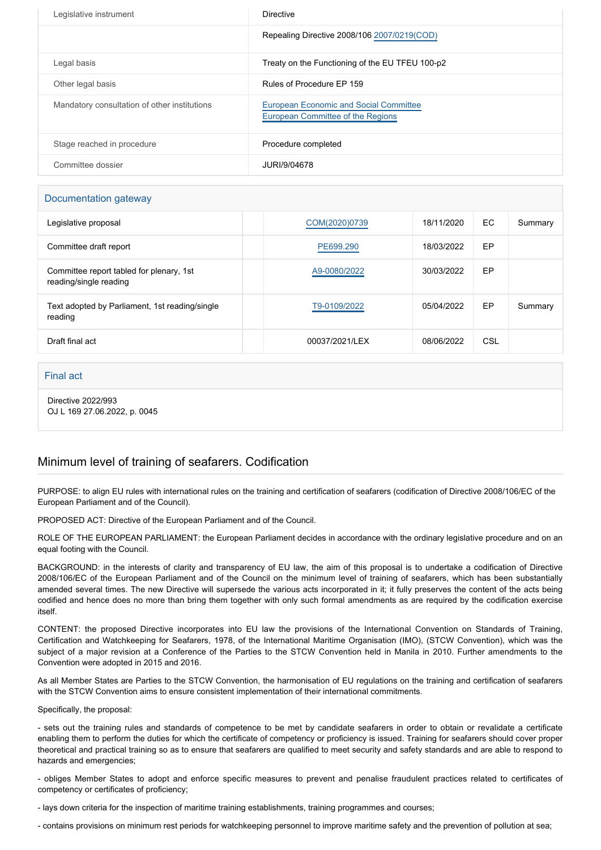| Legislative instrument                       | <b>Directive</b>                                                            |
|----------------------------------------------|-----------------------------------------------------------------------------|
|                                              | Repealing Directive 2008/106 2007/0219(COD)                                 |
| Legal basis                                  | Treaty on the Functioning of the EU TFEU 100-p2                             |
| Other legal basis                            | Rules of Procedure EP 159                                                   |
| Mandatory consultation of other institutions | European Economic and Social Committee<br>European Committee of the Regions |
| Stage reached in procedure                   | Procedure completed                                                         |
| Committee dossier                            | JURI/9/04678                                                                |

### Documentation gateway

| Legislative proposal                                               | COM(2020)0739  | 18/11/2020 | EC. | Summary |
|--------------------------------------------------------------------|----------------|------------|-----|---------|
| Committee draft report                                             | PE699.290      | 18/03/2022 | EP  |         |
| Committee report tabled for plenary, 1st<br>reading/single reading | A9-0080/2022   | 30/03/2022 | EP  |         |
| Text adopted by Parliament, 1st reading/single<br>reading          | T9-0109/2022   | 05/04/2022 | EP  | Summary |
| Draft final act                                                    | 00037/2021/LEX | 08/06/2022 | CSL |         |

#### Final act

Directive 2022/993 OJ L 169 27.06.2022, p. 0045

## Minimum level of training of seafarers. Codification

PURPOSE: to align EU rules with international rules on the training and certification of seafarers (codification of Directive 2008/106/EC of the European Parliament and of the Council).

PROPOSED ACT: Directive of the European Parliament and of the Council.

ROLE OF THE EUROPEAN PARLIAMENT: the European Parliament decides in accordance with the ordinary legislative procedure and on an equal footing with the Council.

BACKGROUND: in the interests of clarity and transparency of EU law, the aim of this proposal is to undertake a codification of Directive 2008/106/EC of the European Parliament and of the Council on the minimum level of training of seafarers, which has been substantially amended several times. The new Directive will supersede the various acts incorporated in it; it fully preserves the content of the acts being codified and hence does no more than bring them together with only such formal amendments as are required by the codification exercise itself.

CONTENT: the proposed Directive incorporates into EU law the provisions of the International Convention on Standards of Training, Certification and Watchkeeping for Seafarers, 1978, of the International Maritime Organisation (IMO), (STCW Convention), which was the subject of a major revision at a Conference of the Parties to the STCW Convention held in Manila in 2010. Further amendments to the Convention were adopted in 2015 and 2016.

As all Member States are Parties to the STCW Convention, the harmonisation of EU regulations on the training and certification of seafarers with the STCW Convention aims to ensure consistent implementation of their international commitments.

Specifically, the proposal:

- sets out the training rules and standards of competence to be met by candidate seafarers in order to obtain or revalidate a certificate enabling them to perform the duties for which the certificate of competency or proficiency is issued. Training for seafarers should cover proper theoretical and practical training so as to ensure that seafarers are qualified to meet security and safety standards and are able to respond to hazards and emergencies;

- obliges Member States to adopt and enforce specific measures to prevent and penalise fraudulent practices related to certificates of competency or certificates of proficiency;

- lays down criteria for the inspection of maritime training establishments, training programmes and courses;

- contains provisions on minimum rest periods for watchkeeping personnel to improve maritime safety and the prevention of pollution at sea;